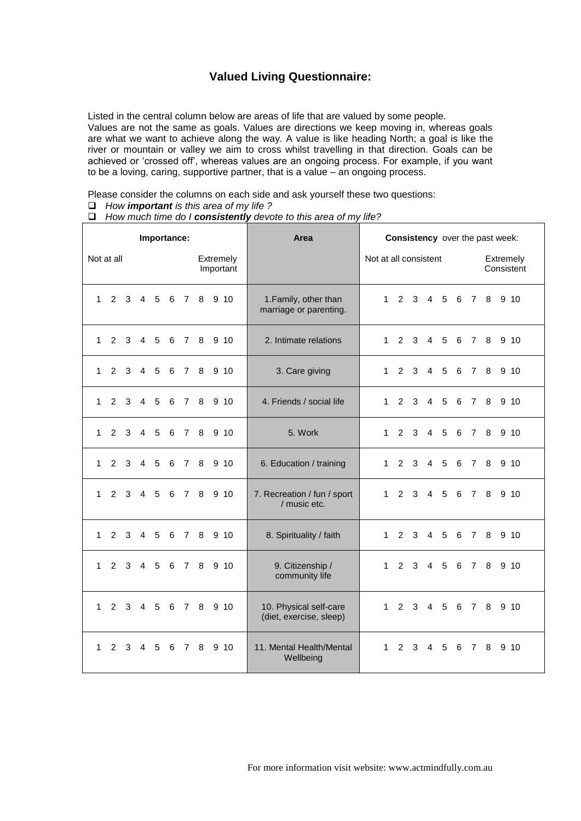## **Valued Living Questionnaire:**

Listed in the central column below are areas of life that are valued by some people. Values are not the same as goals. Values are directions we keep moving in, whereas goals are what we want to achieve along the way. A value is like heading North; a goal is like the river or mountain or valley we aim to cross whilst travelling in that direction. Goals can be achieved or 'crossed off', whereas values are an ongoing process. For example, if you want to be a loving, caring, supportive partner, that is a value – an ongoing process.

Please consider the columns on each side and ask yourself these two questions:

- *How important is this area of my life ?*
- *How much time do I consistently devote to this area of my life?*

| Importance:<br>Not at all<br>Extremely<br>Important<br>1 2 3 4 5 6 7<br>8 9 10<br>2 3 4 5 6 7 8 9 10<br>$\mathbf{1}$<br>$\mathbf{1}$<br>$2 \quad 3$<br>4 5 6 7 8<br>9, 10 |              |             |  |            |   |                |               | Area                  | <b>Consistency</b> over the past week:            |              |                 |             |                |                         |  |       |       |                    |
|---------------------------------------------------------------------------------------------------------------------------------------------------------------------------|--------------|-------------|--|------------|---|----------------|---------------|-----------------------|---------------------------------------------------|--------------|-----------------|-------------|----------------|-------------------------|--|-------|-------|--------------------|
|                                                                                                                                                                           |              |             |  |            |   |                |               | Not at all consistent |                                                   |              |                 |             |                | Extremely<br>Consistent |  |       |       |                    |
|                                                                                                                                                                           |              |             |  |            |   |                |               |                       | 1. Family, other than<br>marriage or parenting.   | 1            |                 |             | 2 3 4 5 6 7    |                         |  |       |       | 8 9 10             |
|                                                                                                                                                                           |              |             |  |            |   |                |               |                       | 2. Intimate relations                             | $1 \quad$    |                 |             |                |                         |  |       |       | 2 3 4 5 6 7 8 9 10 |
|                                                                                                                                                                           |              |             |  |            |   |                |               |                       | 3. Care giving                                    | $\mathbf 1$  |                 | $2 \quad 3$ |                | 4 5                     |  | 6 7 8 |       | 9, 10              |
| $\mathbf{1}$                                                                                                                                                              |              | $2 \quad 3$ |  |            |   |                |               | 4 5 6 7 8 9 10        | 4. Friends / social life                          | 1.           |                 |             | 2 3 4 5        |                         |  |       | 6 7 8 | 9 10               |
| $\mathbf{1}$                                                                                                                                                              | $2^{\circ}$  | 3           |  | 4 5        | 6 | 78             |               | 9, 10                 | 5. Work                                           | 1            | 2               | 3           |                | $4\quad 5$              |  | 6 7 8 |       | 9, 10              |
| $\mathbf{1}$                                                                                                                                                              |              | $2 \quad 3$ |  | 4 5        |   |                |               | 6 7 8 9 10            | 6. Education / training                           |              | 1 2 3           |             |                | 4 5                     |  |       | 6 7 8 | 9 10               |
| $\mathbf{1}$                                                                                                                                                              |              | $2 \quad 3$ |  | $4\quad 5$ | 6 | 78             |               | 9, 10                 | 7. Recreation / fun / sport<br>/ music etc.       |              | $1\quad2\quad3$ |             | $\overline{4}$ | 5                       |  | 6 7 8 |       | 9, 10              |
| $\mathbf{1}$                                                                                                                                                              | $2^{\circ}$  | 3           |  | 4 5        |   |                |               | 6 7 8 9 10            | 8. Spirituality / faith                           | $1 \quad$    | 2               | 3           |                | 4 5                     |  |       |       | 6 7 8 9 10         |
| $\mathbf 1$                                                                                                                                                               | $\mathbf{2}$ | 3           |  | 4 5        |   | 6 7 8          |               | 9, 10                 | 9. Citizenship /<br>community life                | $1 \quad$    |                 | 2 3         | 4 5            |                         |  | 6 7   | 8     | 9 10               |
| $\mathbf{1}$                                                                                                                                                              |              |             |  |            |   |                | 2 3 4 5 6 7 8 | 9, 10                 | 10. Physical self-care<br>(diet, exercise, sleep) | $1 \quad$    |                 |             | 2 3 4 5 6 7 8  |                         |  |       |       | 9 10               |
| $\mathbf{1}$                                                                                                                                                              |              | $2 \quad 3$ |  | 4 5        | 6 | $\overline{7}$ | 8             | 9, 10                 | 11. Mental Health/Mental<br>Wellbeing             | $\mathbf{1}$ |                 | $2 \quad 3$ |                | $4\quad 5$              |  | 6 7   | 8     | 9, 10              |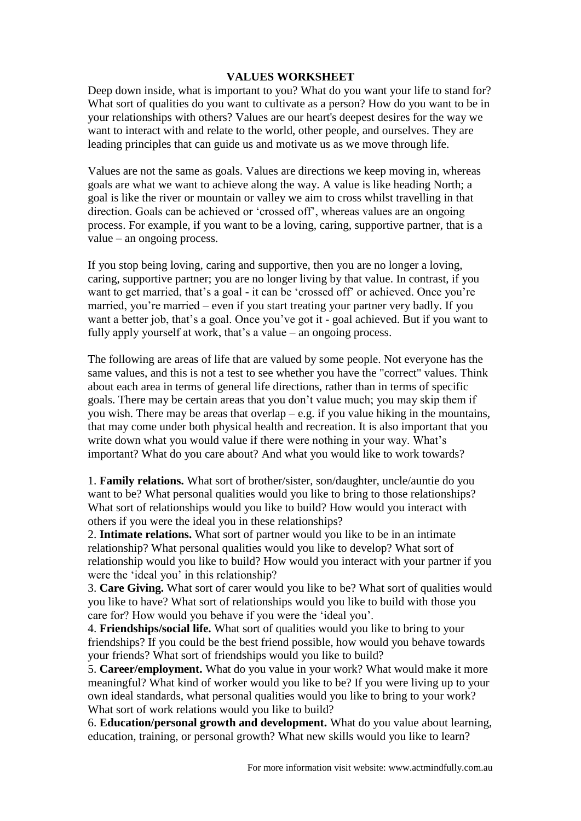## **VALUES WORKSHEET**

Deep down inside, what is important to you? What do you want your life to stand for? What sort of qualities do you want to cultivate as a person? How do you want to be in your relationships with others? Values are our heart's deepest desires for the way we want to interact with and relate to the world, other people, and ourselves. They are leading principles that can guide us and motivate us as we move through life.

Values are not the same as goals. Values are directions we keep moving in, whereas goals are what we want to achieve along the way. A value is like heading North; a goal is like the river or mountain or valley we aim to cross whilst travelling in that direction. Goals can be achieved or 'crossed off', whereas values are an ongoing process. For example, if you want to be a loving, caring, supportive partner, that is a value – an ongoing process.

If you stop being loving, caring and supportive, then you are no longer a loving, caring, supportive partner; you are no longer living by that value. In contrast, if you want to get married, that's a goal - it can be 'crossed off' or achieved. Once you're married, you're married – even if you start treating your partner very badly. If you want a better job, that's a goal. Once you've got it - goal achieved. But if you want to fully apply yourself at work, that's a value – an ongoing process.

The following are areas of life that are valued by some people. Not everyone has the same values, and this is not a test to see whether you have the "correct" values. Think about each area in terms of general life directions, rather than in terms of specific goals. There may be certain areas that you don't value much; you may skip them if you wish. There may be areas that overlap  $-e.g.$  if you value hiking in the mountains, that may come under both physical health and recreation. It is also important that you write down what you would value if there were nothing in your way. What's important? What do you care about? And what you would like to work towards?

1. **Family relations.** What sort of brother/sister, son/daughter, uncle/auntie do you want to be? What personal qualities would you like to bring to those relationships? What sort of relationships would you like to build? How would you interact with others if you were the ideal you in these relationships?

2. **Intimate relations.** What sort of partner would you like to be in an intimate relationship? What personal qualities would you like to develop? What sort of relationship would you like to build? How would you interact with your partner if you were the 'ideal you' in this relationship?

3. **Care Giving.** What sort of carer would you like to be? What sort of qualities would you like to have? What sort of relationships would you like to build with those you care for? How would you behave if you were the 'ideal you'.

4. **Friendships/social life.** What sort of qualities would you like to bring to your friendships? If you could be the best friend possible, how would you behave towards your friends? What sort of friendships would you like to build?

5. **Career/employment.** What do you value in your work? What would make it more meaningful? What kind of worker would you like to be? If you were living up to your own ideal standards, what personal qualities would you like to bring to your work? What sort of work relations would you like to build?

6. **Education/personal growth and development.** What do you value about learning, education, training, or personal growth? What new skills would you like to learn?